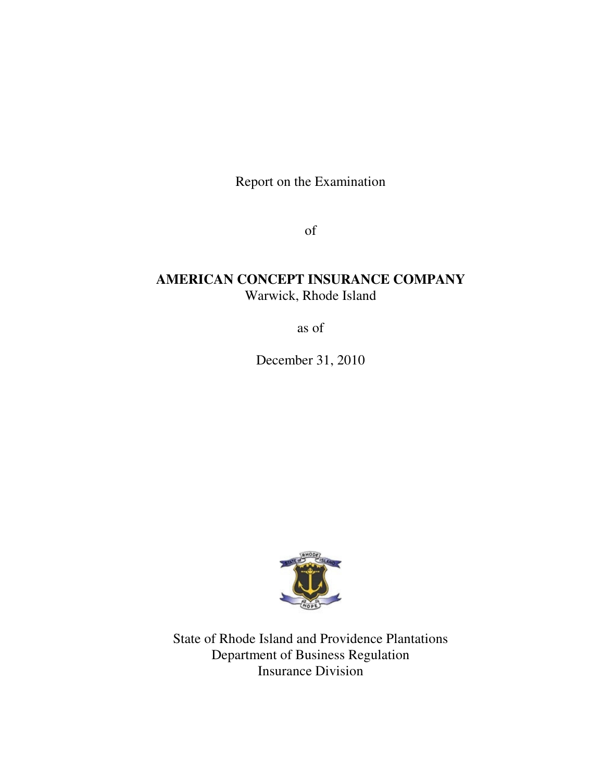Report on the Examination

of

# **AMERICAN CONCEPT INSURANCE COMPANY** Warwick, Rhode Island

as of

December 31, 2010



State of Rhode Island and Providence Plantations Department of Business Regulation Insurance Division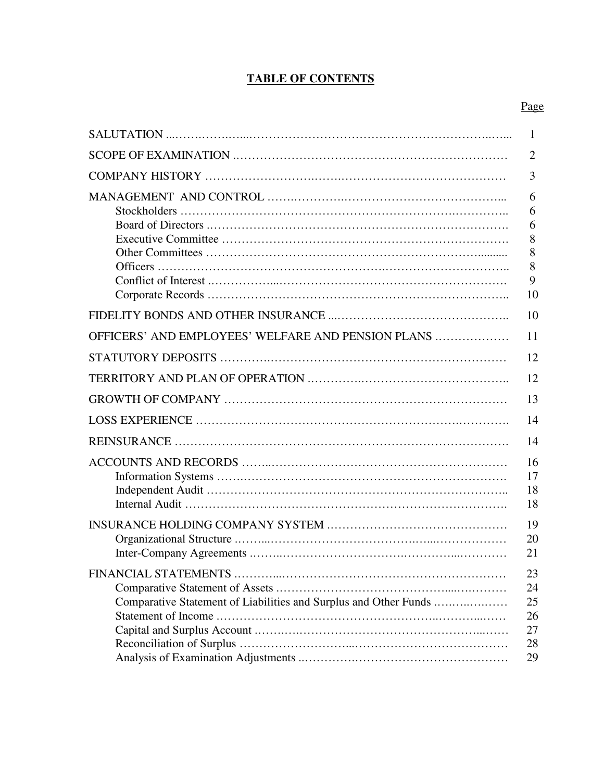# **TABLE OF CONTENTS**

# Page

|                                                                  | 1                                      |
|------------------------------------------------------------------|----------------------------------------|
|                                                                  | $\overline{2}$                         |
|                                                                  | 3                                      |
|                                                                  | 6<br>6<br>6<br>8<br>8<br>8<br>9<br>10  |
|                                                                  | 10                                     |
| OFFICERS' AND EMPLOYEES' WELFARE AND PENSION PLANS               | 11<br>12                               |
|                                                                  | 12                                     |
|                                                                  | 13                                     |
|                                                                  | 14                                     |
|                                                                  | 14                                     |
|                                                                  | 16<br>17<br>18<br>18                   |
|                                                                  | 19<br>20<br>21                         |
| Comparative Statement of Liabilities and Surplus and Other Funds | 23<br>24<br>25<br>26<br>27<br>28<br>29 |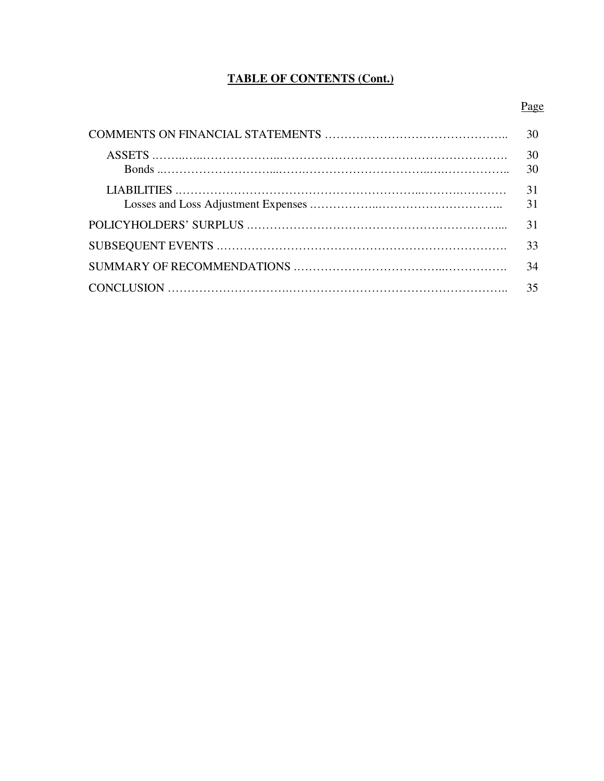# **TABLE OF CONTENTS (Cont.)**

# Page

| 30       |
|----------|
| 30<br>30 |
| 31<br>31 |
| 31       |
| 33       |
| 34       |
| 35       |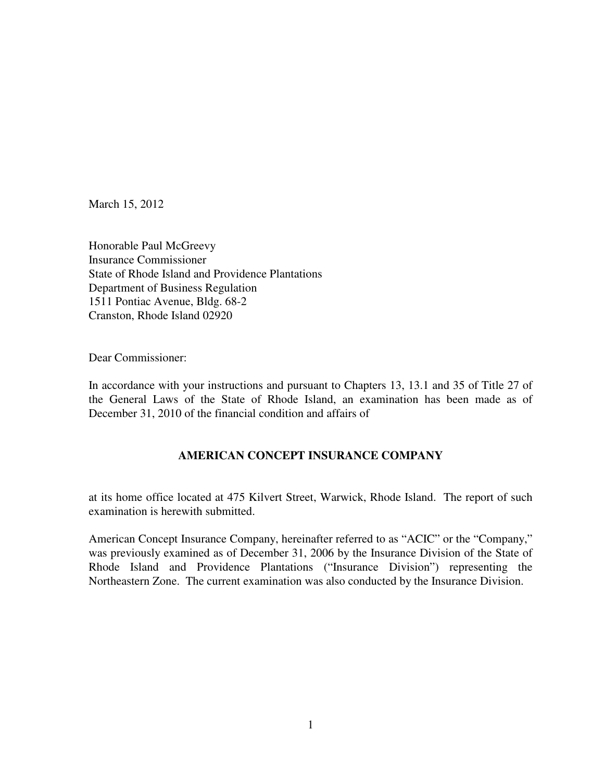March 15, 2012

Honorable Paul McGreevy Insurance Commissioner State of Rhode Island and Providence Plantations Department of Business Regulation 1511 Pontiac Avenue, Bldg. 68-2 Cranston, Rhode Island 02920

Dear Commissioner:

In accordance with your instructions and pursuant to Chapters 13, 13.1 and 35 of Title 27 of the General Laws of the State of Rhode Island, an examination has been made as of December 31, 2010 of the financial condition and affairs of

# **AMERICAN CONCEPT INSURANCE COMPANY**

at its home office located at 475 Kilvert Street, Warwick, Rhode Island. The report of such examination is herewith submitted.

American Concept Insurance Company, hereinafter referred to as "ACIC" or the "Company," was previously examined as of December 31, 2006 by the Insurance Division of the State of Rhode Island and Providence Plantations ("Insurance Division") representing the Northeastern Zone. The current examination was also conducted by the Insurance Division.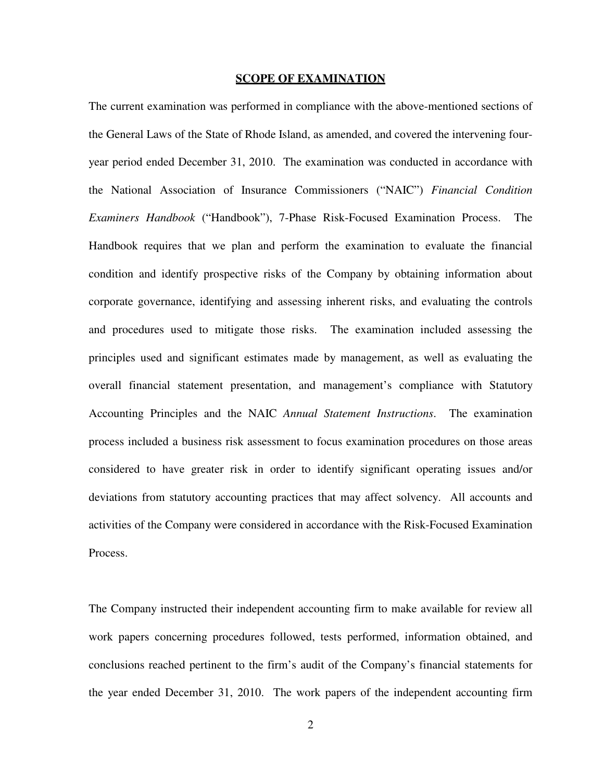#### **SCOPE OF EXAMINATION**

The current examination was performed in compliance with the above-mentioned sections of the General Laws of the State of Rhode Island, as amended, and covered the intervening fouryear period ended December 31, 2010. The examination was conducted in accordance with the National Association of Insurance Commissioners ("NAIC") *Financial Condition Examiners Handbook* ("Handbook"), 7-Phase Risk-Focused Examination Process. The Handbook requires that we plan and perform the examination to evaluate the financial condition and identify prospective risks of the Company by obtaining information about corporate governance, identifying and assessing inherent risks, and evaluating the controls and procedures used to mitigate those risks. The examination included assessing the principles used and significant estimates made by management, as well as evaluating the overall financial statement presentation, and management's compliance with Statutory Accounting Principles and the NAIC *Annual Statement Instructions*. The examination process included a business risk assessment to focus examination procedures on those areas considered to have greater risk in order to identify significant operating issues and/or deviations from statutory accounting practices that may affect solvency. All accounts and activities of the Company were considered in accordance with the Risk-Focused Examination Process.

The Company instructed their independent accounting firm to make available for review all work papers concerning procedures followed, tests performed, information obtained, and conclusions reached pertinent to the firm's audit of the Company's financial statements for the year ended December 31, 2010. The work papers of the independent accounting firm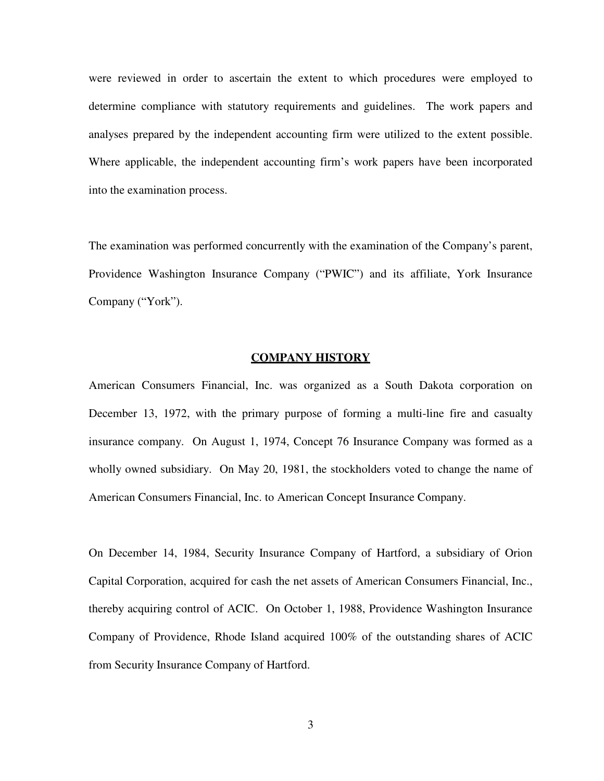were reviewed in order to ascertain the extent to which procedures were employed to determine compliance with statutory requirements and guidelines. The work papers and analyses prepared by the independent accounting firm were utilized to the extent possible. Where applicable, the independent accounting firm's work papers have been incorporated into the examination process.

The examination was performed concurrently with the examination of the Company's parent, Providence Washington Insurance Company ("PWIC") and its affiliate, York Insurance Company ("York").

## **COMPANY HISTORY**

American Consumers Financial, Inc. was organized as a South Dakota corporation on December 13, 1972, with the primary purpose of forming a multi-line fire and casualty insurance company. On August 1, 1974, Concept 76 Insurance Company was formed as a wholly owned subsidiary. On May 20, 1981, the stockholders voted to change the name of American Consumers Financial, Inc. to American Concept Insurance Company.

On December 14, 1984, Security Insurance Company of Hartford, a subsidiary of Orion Capital Corporation, acquired for cash the net assets of American Consumers Financial, Inc., thereby acquiring control of ACIC. On October 1, 1988, Providence Washington Insurance Company of Providence, Rhode Island acquired 100% of the outstanding shares of ACIC from Security Insurance Company of Hartford.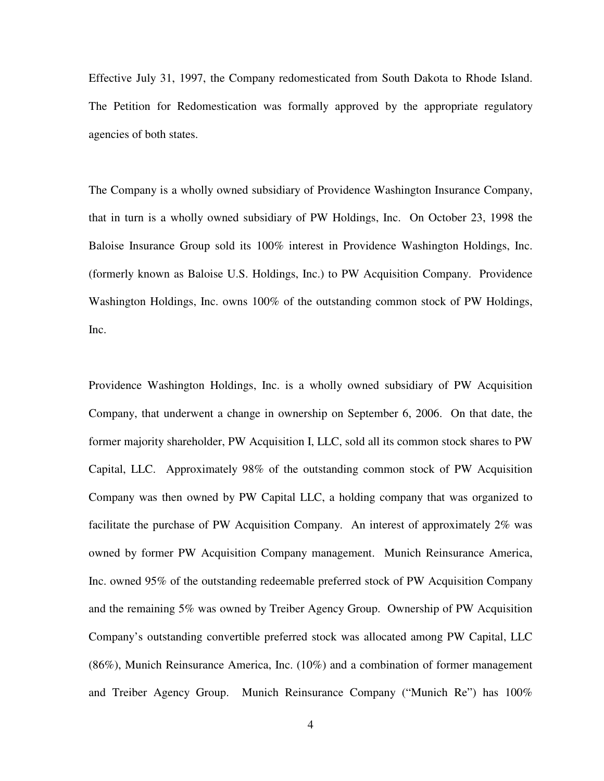Effective July 31, 1997, the Company redomesticated from South Dakota to Rhode Island. The Petition for Redomestication was formally approved by the appropriate regulatory agencies of both states.

The Company is a wholly owned subsidiary of Providence Washington Insurance Company, that in turn is a wholly owned subsidiary of PW Holdings, Inc. On October 23, 1998 the Baloise Insurance Group sold its 100% interest in Providence Washington Holdings, Inc. (formerly known as Baloise U.S. Holdings, Inc.) to PW Acquisition Company. Providence Washington Holdings, Inc. owns 100% of the outstanding common stock of PW Holdings, Inc.

Providence Washington Holdings, Inc. is a wholly owned subsidiary of PW Acquisition Company, that underwent a change in ownership on September 6, 2006. On that date, the former majority shareholder, PW Acquisition I, LLC, sold all its common stock shares to PW Capital, LLC. Approximately 98% of the outstanding common stock of PW Acquisition Company was then owned by PW Capital LLC, a holding company that was organized to facilitate the purchase of PW Acquisition Company. An interest of approximately 2% was owned by former PW Acquisition Company management. Munich Reinsurance America, Inc. owned 95% of the outstanding redeemable preferred stock of PW Acquisition Company and the remaining 5% was owned by Treiber Agency Group. Ownership of PW Acquisition Company's outstanding convertible preferred stock was allocated among PW Capital, LLC (86%), Munich Reinsurance America, Inc. (10%) and a combination of former management and Treiber Agency Group. Munich Reinsurance Company ("Munich Re") has 100%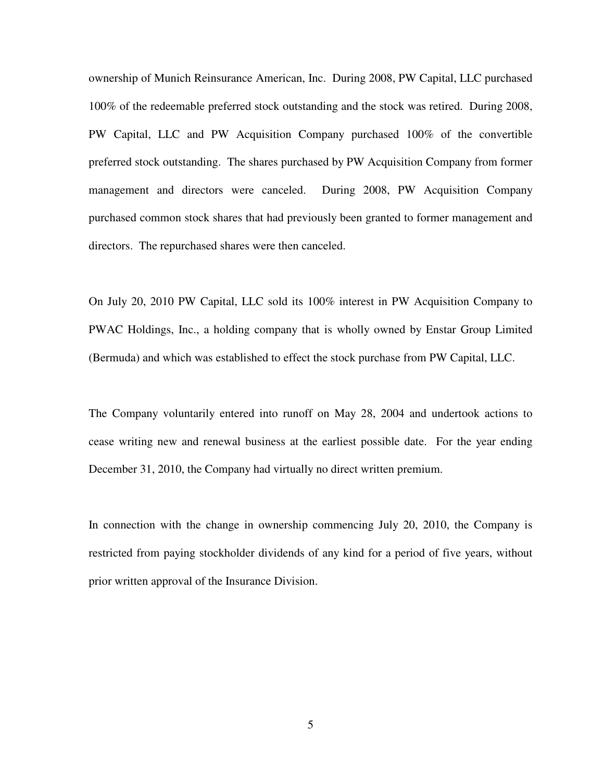ownership of Munich Reinsurance American, Inc. During 2008, PW Capital, LLC purchased 100% of the redeemable preferred stock outstanding and the stock was retired. During 2008, PW Capital, LLC and PW Acquisition Company purchased 100% of the convertible preferred stock outstanding. The shares purchased by PW Acquisition Company from former management and directors were canceled. During 2008, PW Acquisition Company purchased common stock shares that had previously been granted to former management and directors. The repurchased shares were then canceled.

On July 20, 2010 PW Capital, LLC sold its 100% interest in PW Acquisition Company to PWAC Holdings, Inc., a holding company that is wholly owned by Enstar Group Limited (Bermuda) and which was established to effect the stock purchase from PW Capital, LLC.

The Company voluntarily entered into runoff on May 28, 2004 and undertook actions to cease writing new and renewal business at the earliest possible date. For the year ending December 31, 2010, the Company had virtually no direct written premium.

In connection with the change in ownership commencing July 20, 2010, the Company is restricted from paying stockholder dividends of any kind for a period of five years, without prior written approval of the Insurance Division.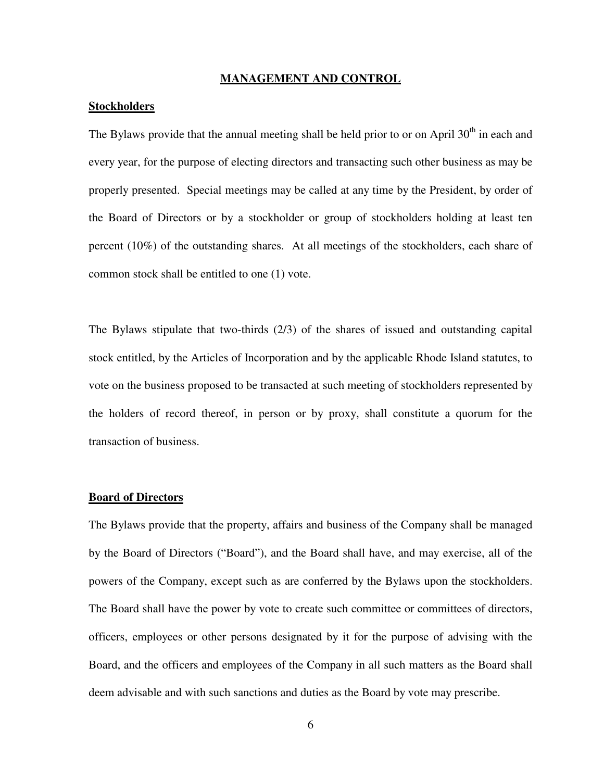## **MANAGEMENT AND CONTROL**

## **Stockholders**

The Bylaws provide that the annual meeting shall be held prior to or on April  $30<sup>th</sup>$  in each and every year, for the purpose of electing directors and transacting such other business as may be properly presented. Special meetings may be called at any time by the President, by order of the Board of Directors or by a stockholder or group of stockholders holding at least ten percent (10%) of the outstanding shares. At all meetings of the stockholders, each share of common stock shall be entitled to one (1) vote.

The Bylaws stipulate that two-thirds (2/3) of the shares of issued and outstanding capital stock entitled, by the Articles of Incorporation and by the applicable Rhode Island statutes, to vote on the business proposed to be transacted at such meeting of stockholders represented by the holders of record thereof, in person or by proxy, shall constitute a quorum for the transaction of business.

#### **Board of Directors**

The Bylaws provide that the property, affairs and business of the Company shall be managed by the Board of Directors ("Board"), and the Board shall have, and may exercise, all of the powers of the Company, except such as are conferred by the Bylaws upon the stockholders. The Board shall have the power by vote to create such committee or committees of directors, officers, employees or other persons designated by it for the purpose of advising with the Board, and the officers and employees of the Company in all such matters as the Board shall deem advisable and with such sanctions and duties as the Board by vote may prescribe.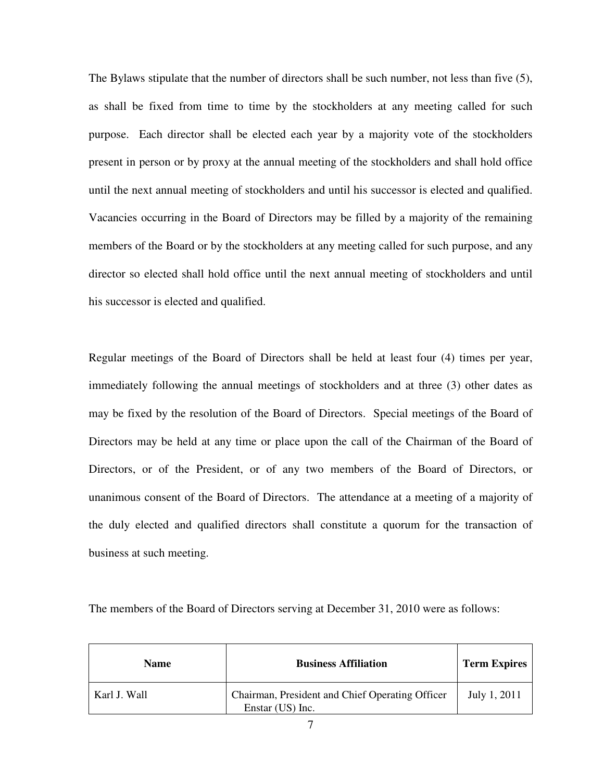The Bylaws stipulate that the number of directors shall be such number, not less than five (5), as shall be fixed from time to time by the stockholders at any meeting called for such purpose. Each director shall be elected each year by a majority vote of the stockholders present in person or by proxy at the annual meeting of the stockholders and shall hold office until the next annual meeting of stockholders and until his successor is elected and qualified. Vacancies occurring in the Board of Directors may be filled by a majority of the remaining members of the Board or by the stockholders at any meeting called for such purpose, and any director so elected shall hold office until the next annual meeting of stockholders and until his successor is elected and qualified.

Regular meetings of the Board of Directors shall be held at least four (4) times per year, immediately following the annual meetings of stockholders and at three (3) other dates as may be fixed by the resolution of the Board of Directors. Special meetings of the Board of Directors may be held at any time or place upon the call of the Chairman of the Board of Directors, or of the President, or of any two members of the Board of Directors, or unanimous consent of the Board of Directors. The attendance at a meeting of a majority of the duly elected and qualified directors shall constitute a quorum for the transaction of business at such meeting.

| The members of the Board of Directors serving at December 31, 2010 were as follows: |  |  |  |  |
|-------------------------------------------------------------------------------------|--|--|--|--|
|                                                                                     |  |  |  |  |

| <b>Name</b>  | <b>Business Affiliation</b>                                         | <b>Term Expires</b> |
|--------------|---------------------------------------------------------------------|---------------------|
| Karl J. Wall | Chairman, President and Chief Operating Officer<br>Enstar (US) Inc. | July 1, 2011        |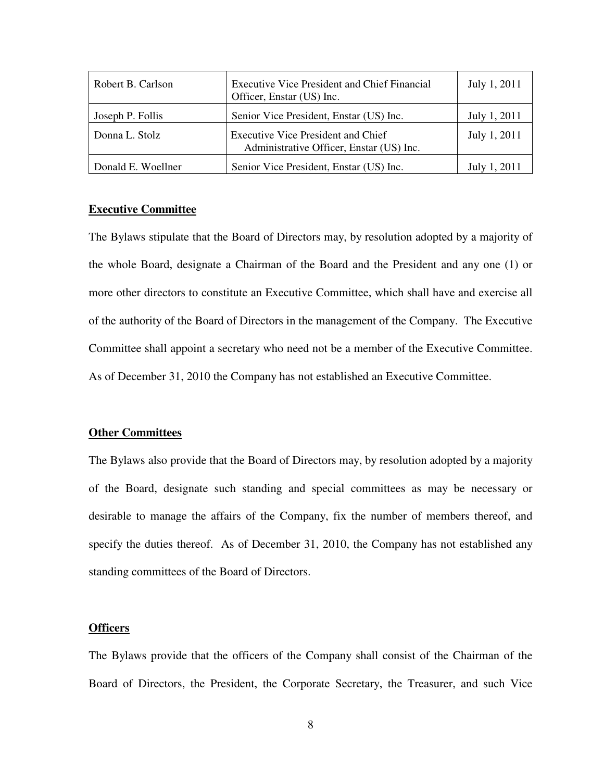| Robert B. Carlson  | <b>Executive Vice President and Chief Financial</b><br>Officer, Enstar (US) Inc.      | July 1, 2011 |
|--------------------|---------------------------------------------------------------------------------------|--------------|
| Joseph P. Follis   | Senior Vice President, Enstar (US) Inc.                                               | July 1, 2011 |
| Donna L. Stolz     | <b>Executive Vice President and Chief</b><br>Administrative Officer, Enstar (US) Inc. | July 1, 2011 |
| Donald E. Woellner | Senior Vice President, Enstar (US) Inc.                                               | July 1, 2011 |

# **Executive Committee**

The Bylaws stipulate that the Board of Directors may, by resolution adopted by a majority of the whole Board, designate a Chairman of the Board and the President and any one (1) or more other directors to constitute an Executive Committee, which shall have and exercise all of the authority of the Board of Directors in the management of the Company. The Executive Committee shall appoint a secretary who need not be a member of the Executive Committee. As of December 31, 2010 the Company has not established an Executive Committee.

#### **Other Committees**

The Bylaws also provide that the Board of Directors may, by resolution adopted by a majority of the Board, designate such standing and special committees as may be necessary or desirable to manage the affairs of the Company, fix the number of members thereof, and specify the duties thereof. As of December 31, 2010, the Company has not established any standing committees of the Board of Directors.

#### **Officers**

The Bylaws provide that the officers of the Company shall consist of the Chairman of the Board of Directors, the President, the Corporate Secretary, the Treasurer, and such Vice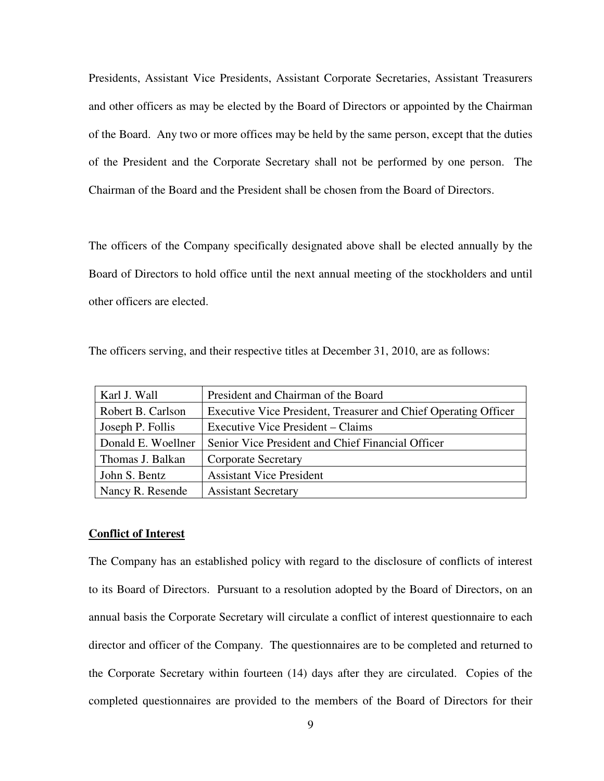Presidents, Assistant Vice Presidents, Assistant Corporate Secretaries, Assistant Treasurers and other officers as may be elected by the Board of Directors or appointed by the Chairman of the Board. Any two or more offices may be held by the same person, except that the duties of the President and the Corporate Secretary shall not be performed by one person. The Chairman of the Board and the President shall be chosen from the Board of Directors.

The officers of the Company specifically designated above shall be elected annually by the Board of Directors to hold office until the next annual meeting of the stockholders and until other officers are elected.

The officers serving, and their respective titles at December 31, 2010, are as follows:

| Karl J. Wall       | President and Chairman of the Board                             |
|--------------------|-----------------------------------------------------------------|
| Robert B. Carlson  | Executive Vice President, Treasurer and Chief Operating Officer |
| Joseph P. Follis   | Executive Vice President – Claims                               |
| Donald E. Woellner | Senior Vice President and Chief Financial Officer               |
| Thomas J. Balkan   | <b>Corporate Secretary</b>                                      |
| John S. Bentz      | <b>Assistant Vice President</b>                                 |
| Nancy R. Resende   | <b>Assistant Secretary</b>                                      |

## **Conflict of Interest**

The Company has an established policy with regard to the disclosure of conflicts of interest to its Board of Directors. Pursuant to a resolution adopted by the Board of Directors, on an annual basis the Corporate Secretary will circulate a conflict of interest questionnaire to each director and officer of the Company. The questionnaires are to be completed and returned to the Corporate Secretary within fourteen (14) days after they are circulated. Copies of the completed questionnaires are provided to the members of the Board of Directors for their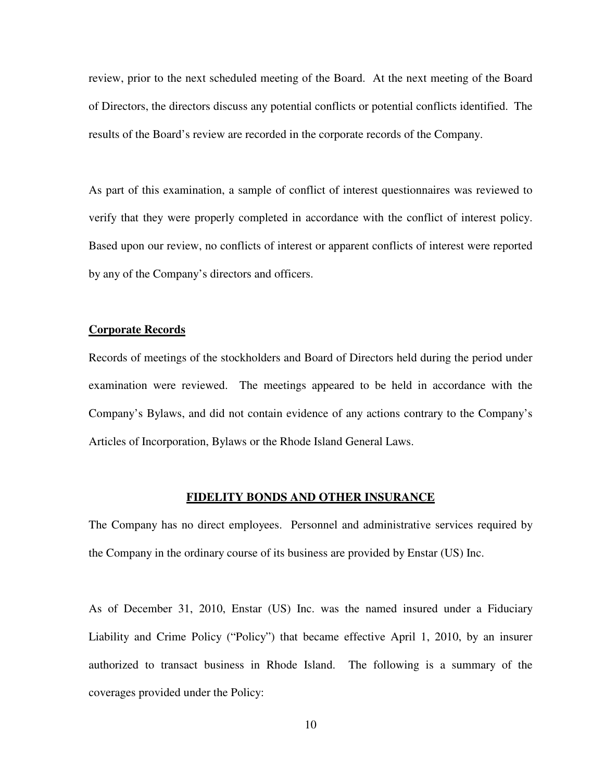review, prior to the next scheduled meeting of the Board. At the next meeting of the Board of Directors, the directors discuss any potential conflicts or potential conflicts identified. The results of the Board's review are recorded in the corporate records of the Company.

As part of this examination, a sample of conflict of interest questionnaires was reviewed to verify that they were properly completed in accordance with the conflict of interest policy. Based upon our review, no conflicts of interest or apparent conflicts of interest were reported by any of the Company's directors and officers.

## **Corporate Records**

Records of meetings of the stockholders and Board of Directors held during the period under examination were reviewed. The meetings appeared to be held in accordance with the Company's Bylaws, and did not contain evidence of any actions contrary to the Company's Articles of Incorporation, Bylaws or the Rhode Island General Laws.

## **FIDELITY BONDS AND OTHER INSURANCE**

The Company has no direct employees. Personnel and administrative services required by the Company in the ordinary course of its business are provided by Enstar (US) Inc.

As of December 31, 2010, Enstar (US) Inc. was the named insured under a Fiduciary Liability and Crime Policy ("Policy") that became effective April 1, 2010, by an insurer authorized to transact business in Rhode Island. The following is a summary of the coverages provided under the Policy: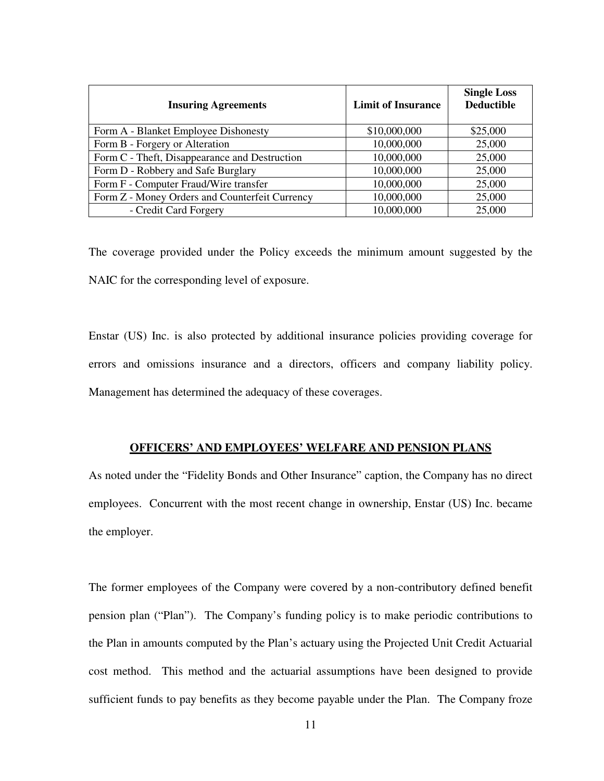| <b>Insuring Agreements</b>                     | <b>Limit of Insurance</b> | <b>Single Loss</b><br><b>Deductible</b> |
|------------------------------------------------|---------------------------|-----------------------------------------|
| Form A - Blanket Employee Dishonesty           | \$10,000,000              | \$25,000                                |
| Form B - Forgery or Alteration                 | 10,000,000                | 25,000                                  |
| Form C - Theft, Disappearance and Destruction  | 10,000,000                | 25,000                                  |
| Form D - Robbery and Safe Burglary             | 10,000,000                | 25,000                                  |
| Form F - Computer Fraud/Wire transfer          | 10,000,000                | 25,000                                  |
| Form Z - Money Orders and Counterfeit Currency | 10,000,000                | 25,000                                  |
| - Credit Card Forgery                          | 10,000,000                | 25,000                                  |

The coverage provided under the Policy exceeds the minimum amount suggested by the NAIC for the corresponding level of exposure.

Enstar (US) Inc. is also protected by additional insurance policies providing coverage for errors and omissions insurance and a directors, officers and company liability policy. Management has determined the adequacy of these coverages.

## **OFFICERS' AND EMPLOYEES' WELFARE AND PENSION PLANS**

As noted under the "Fidelity Bonds and Other Insurance" caption, the Company has no direct employees. Concurrent with the most recent change in ownership, Enstar (US) Inc. became the employer.

The former employees of the Company were covered by a non-contributory defined benefit pension plan ("Plan"). The Company's funding policy is to make periodic contributions to the Plan in amounts computed by the Plan's actuary using the Projected Unit Credit Actuarial cost method. This method and the actuarial assumptions have been designed to provide sufficient funds to pay benefits as they become payable under the Plan. The Company froze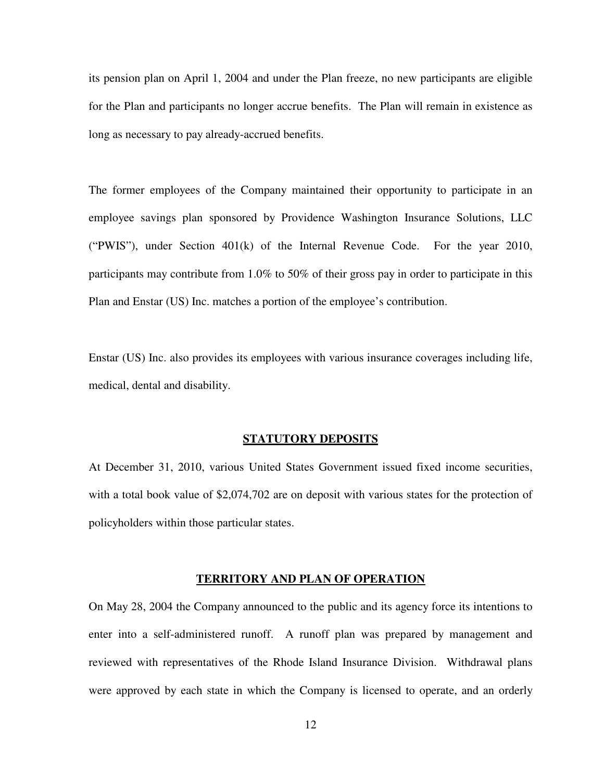its pension plan on April 1, 2004 and under the Plan freeze, no new participants are eligible for the Plan and participants no longer accrue benefits. The Plan will remain in existence as long as necessary to pay already-accrued benefits.

The former employees of the Company maintained their opportunity to participate in an employee savings plan sponsored by Providence Washington Insurance Solutions, LLC ("PWIS"), under Section 401(k) of the Internal Revenue Code. For the year 2010, participants may contribute from 1.0% to 50% of their gross pay in order to participate in this Plan and Enstar (US) Inc. matches a portion of the employee's contribution.

Enstar (US) Inc. also provides its employees with various insurance coverages including life, medical, dental and disability.

# **STATUTORY DEPOSITS**

At December 31, 2010, various United States Government issued fixed income securities, with a total book value of \$2,074,702 are on deposit with various states for the protection of policyholders within those particular states.

## **TERRITORY AND PLAN OF OPERATION**

On May 28, 2004 the Company announced to the public and its agency force its intentions to enter into a self-administered runoff. A runoff plan was prepared by management and reviewed with representatives of the Rhode Island Insurance Division. Withdrawal plans were approved by each state in which the Company is licensed to operate, and an orderly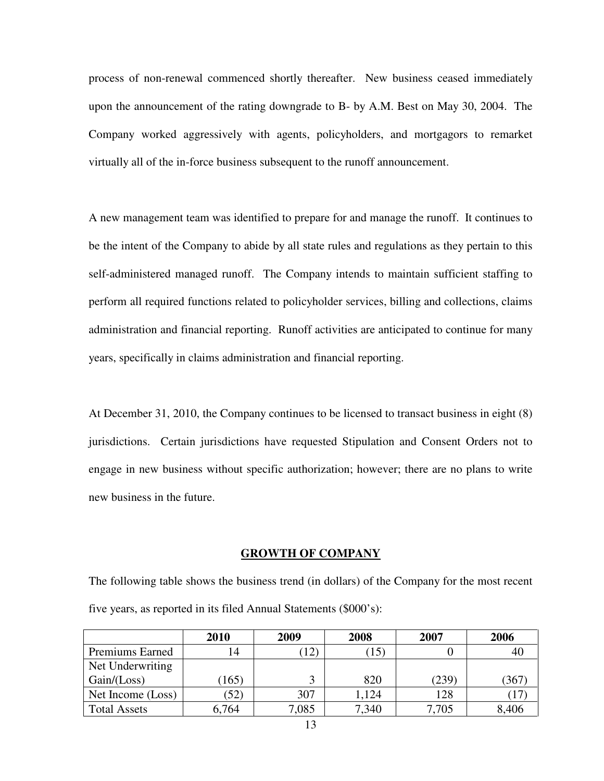process of non-renewal commenced shortly thereafter. New business ceased immediately upon the announcement of the rating downgrade to B- by A.M. Best on May 30, 2004. The Company worked aggressively with agents, policyholders, and mortgagors to remarket virtually all of the in-force business subsequent to the runoff announcement.

A new management team was identified to prepare for and manage the runoff. It continues to be the intent of the Company to abide by all state rules and regulations as they pertain to this self-administered managed runoff. The Company intends to maintain sufficient staffing to perform all required functions related to policyholder services, billing and collections, claims administration and financial reporting. Runoff activities are anticipated to continue for many years, specifically in claims administration and financial reporting.

At December 31, 2010, the Company continues to be licensed to transact business in eight (8) jurisdictions. Certain jurisdictions have requested Stipulation and Consent Orders not to engage in new business without specific authorization; however; there are no plans to write new business in the future.

# **GROWTH OF COMPANY**

The following table shows the business trend (in dollars) of the Company for the most recent five years, as reported in its filed Annual Statements (\$000's):

|                     | 2010  | 2009  | 2008              | 2007  | 2006  |
|---------------------|-------|-------|-------------------|-------|-------|
| Premiums Earned     | 14    |       | $\left(15\right)$ |       | 40    |
| Net Underwriting    |       |       |                   |       |       |
| Gain / (Loss)       | 165)  |       | 820               | (239) | (367  |
| Net Income (Loss)   | (52)  | 307   | 1,124             | 128   |       |
| <b>Total Assets</b> | 6,764 | 7,085 | 7,340             | 7,705 | 8,406 |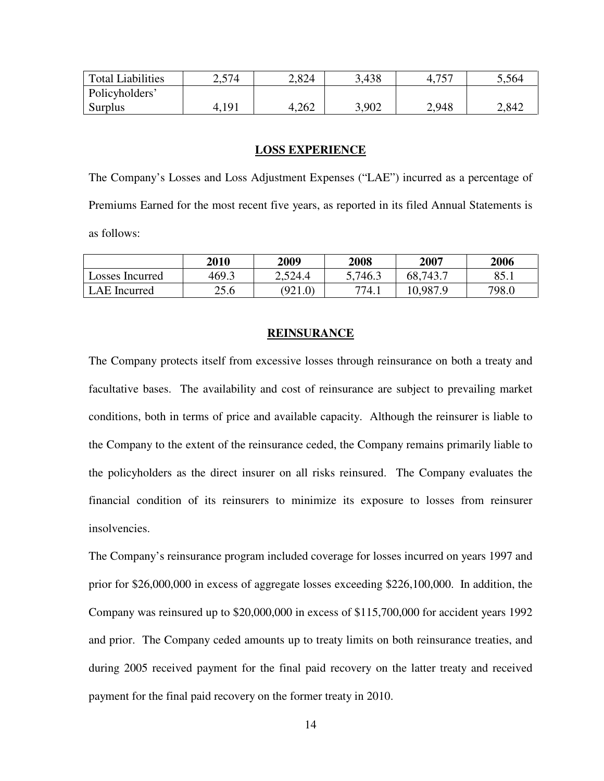| <b>Total Liabilities</b> | 2,574 | 2,824 | 3,438 | ワミワ<br>4, 1, | 5.564 |
|--------------------------|-------|-------|-------|--------------|-------|
| Policyholders'           |       |       |       |              |       |
| Surplus                  | 4,191 | 4,262 | 3,902 | 2.948        | 2,842 |

#### **LOSS EXPERIENCE**

The Company's Losses and Loss Adjustment Expenses ("LAE") incurred as a percentage of Premiums Earned for the most recent five years, as reported in its filed Annual Statements is as follows:

|                 | 2010  | 2009    | 2008    | 2007     | 2006  |
|-----------------|-------|---------|---------|----------|-------|
| Losses Incurred | 469.3 | 2,524.4 | 5,746.3 | 68,743.7 | 85.1  |
| LAE Incurred    | 25.6  | (921.0) | 774.1   | 10,987.9 | 798.0 |

#### **REINSURANCE**

The Company protects itself from excessive losses through reinsurance on both a treaty and facultative bases. The availability and cost of reinsurance are subject to prevailing market conditions, both in terms of price and available capacity. Although the reinsurer is liable to the Company to the extent of the reinsurance ceded, the Company remains primarily liable to the policyholders as the direct insurer on all risks reinsured. The Company evaluates the financial condition of its reinsurers to minimize its exposure to losses from reinsurer insolvencies.

The Company's reinsurance program included coverage for losses incurred on years 1997 and prior for \$26,000,000 in excess of aggregate losses exceeding \$226,100,000. In addition, the Company was reinsured up to \$20,000,000 in excess of \$115,700,000 for accident years 1992 and prior. The Company ceded amounts up to treaty limits on both reinsurance treaties, and during 2005 received payment for the final paid recovery on the latter treaty and received payment for the final paid recovery on the former treaty in 2010.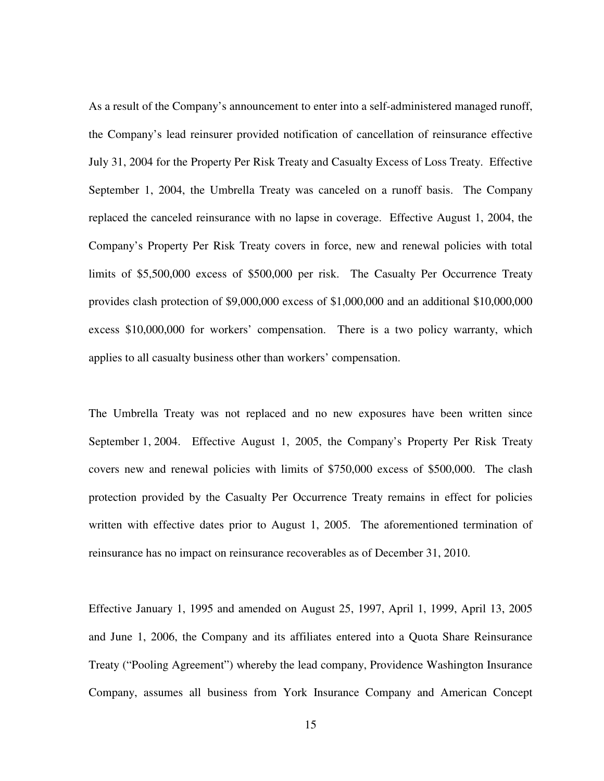As a result of the Company's announcement to enter into a self-administered managed runoff, the Company's lead reinsurer provided notification of cancellation of reinsurance effective July 31, 2004 for the Property Per Risk Treaty and Casualty Excess of Loss Treaty. Effective September 1, 2004, the Umbrella Treaty was canceled on a runoff basis. The Company replaced the canceled reinsurance with no lapse in coverage. Effective August 1, 2004, the Company's Property Per Risk Treaty covers in force, new and renewal policies with total limits of \$5,500,000 excess of \$500,000 per risk. The Casualty Per Occurrence Treaty provides clash protection of \$9,000,000 excess of \$1,000,000 and an additional \$10,000,000 excess \$10,000,000 for workers' compensation. There is a two policy warranty, which applies to all casualty business other than workers' compensation.

The Umbrella Treaty was not replaced and no new exposures have been written since September 1, 2004. Effective August 1, 2005, the Company's Property Per Risk Treaty covers new and renewal policies with limits of \$750,000 excess of \$500,000. The clash protection provided by the Casualty Per Occurrence Treaty remains in effect for policies written with effective dates prior to August 1, 2005. The aforementioned termination of reinsurance has no impact on reinsurance recoverables as of December 31, 2010.

Effective January 1, 1995 and amended on August 25, 1997, April 1, 1999, April 13, 2005 and June 1, 2006, the Company and its affiliates entered into a Quota Share Reinsurance Treaty ("Pooling Agreement") whereby the lead company, Providence Washington Insurance Company, assumes all business from York Insurance Company and American Concept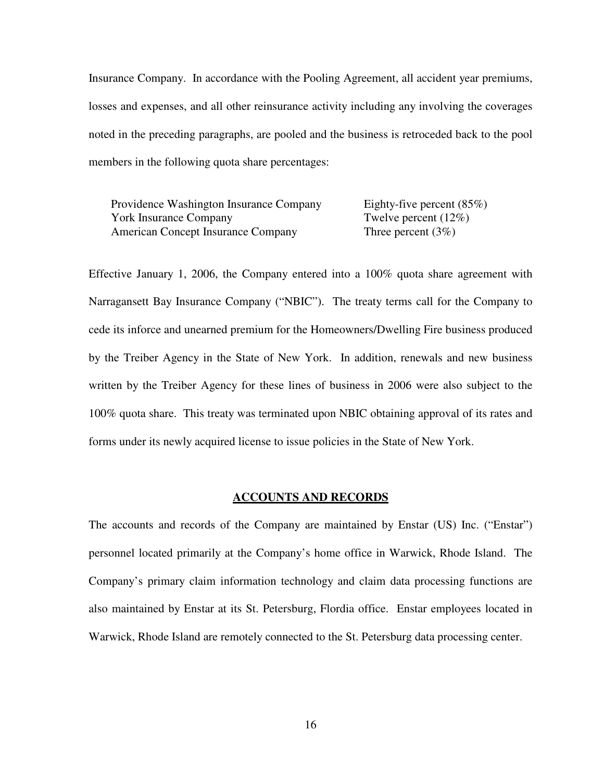Insurance Company. In accordance with the Pooling Agreement, all accident year premiums, losses and expenses, and all other reinsurance activity including any involving the coverages noted in the preceding paragraphs, are pooled and the business is retroceded back to the pool members in the following quota share percentages:

Providence Washington Insurance Company Eighty-five percent (85%) York Insurance Company Twelve percent (12%) American Concept Insurance Company Three percent (3%)

Effective January 1, 2006, the Company entered into a 100% quota share agreement with Narragansett Bay Insurance Company ("NBIC"). The treaty terms call for the Company to cede its inforce and unearned premium for the Homeowners/Dwelling Fire business produced by the Treiber Agency in the State of New York. In addition, renewals and new business written by the Treiber Agency for these lines of business in 2006 were also subject to the 100% quota share. This treaty was terminated upon NBIC obtaining approval of its rates and forms under its newly acquired license to issue policies in the State of New York.

#### **ACCOUNTS AND RECORDS**

The accounts and records of the Company are maintained by Enstar (US) Inc. ("Enstar") personnel located primarily at the Company's home office in Warwick, Rhode Island. The Company's primary claim information technology and claim data processing functions are also maintained by Enstar at its St. Petersburg, Flordia office. Enstar employees located in Warwick, Rhode Island are remotely connected to the St. Petersburg data processing center.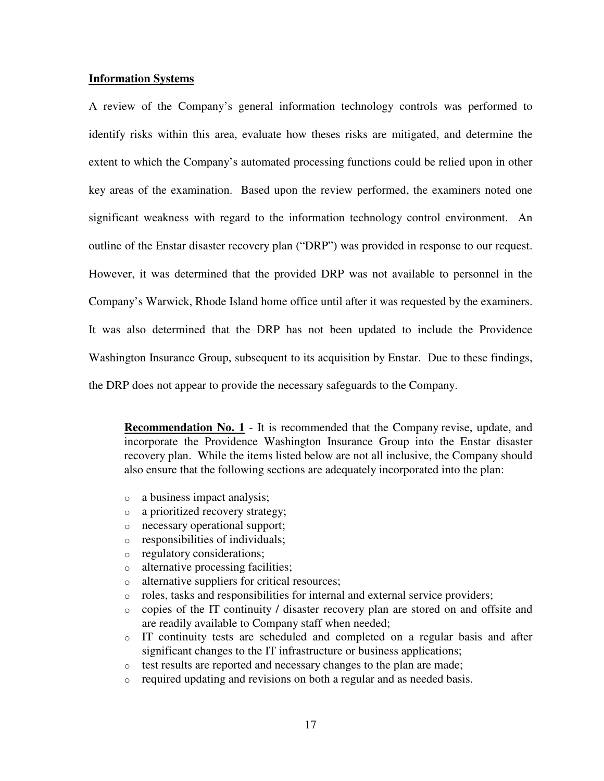## **Information Systems**

A review of the Company's general information technology controls was performed to identify risks within this area, evaluate how theses risks are mitigated, and determine the extent to which the Company's automated processing functions could be relied upon in other key areas of the examination. Based upon the review performed, the examiners noted one significant weakness with regard to the information technology control environment. An outline of the Enstar disaster recovery plan ("DRP") was provided in response to our request. However, it was determined that the provided DRP was not available to personnel in the Company's Warwick, Rhode Island home office until after it was requested by the examiners. It was also determined that the DRP has not been updated to include the Providence Washington Insurance Group, subsequent to its acquisition by Enstar. Due to these findings, the DRP does not appear to provide the necessary safeguards to the Company.

**Recommendation No. 1** - It is recommended that the Company revise, update, and incorporate the Providence Washington Insurance Group into the Enstar disaster recovery plan. While the items listed below are not all inclusive, the Company should also ensure that the following sections are adequately incorporated into the plan:

- o a business impact analysis;
- o a prioritized recovery strategy;
- o necessary operational support;
- o responsibilities of individuals;
- o regulatory considerations;
- o alternative processing facilities;
- o alternative suppliers for critical resources;
- o roles, tasks and responsibilities for internal and external service providers;
- o copies of the IT continuity / disaster recovery plan are stored on and offsite and are readily available to Company staff when needed;
- o IT continuity tests are scheduled and completed on a regular basis and after significant changes to the IT infrastructure or business applications;
- o test results are reported and necessary changes to the plan are made;
- o required updating and revisions on both a regular and as needed basis.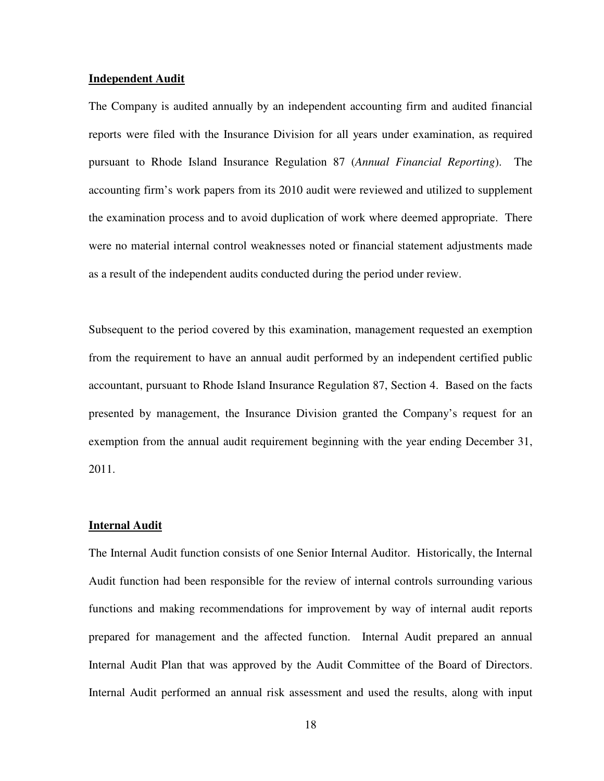### **Independent Audit**

The Company is audited annually by an independent accounting firm and audited financial reports were filed with the Insurance Division for all years under examination, as required pursuant to Rhode Island Insurance Regulation 87 (*Annual Financial Reporting*). The accounting firm's work papers from its 2010 audit were reviewed and utilized to supplement the examination process and to avoid duplication of work where deemed appropriate. There were no material internal control weaknesses noted or financial statement adjustments made as a result of the independent audits conducted during the period under review.

Subsequent to the period covered by this examination, management requested an exemption from the requirement to have an annual audit performed by an independent certified public accountant, pursuant to Rhode Island Insurance Regulation 87, Section 4. Based on the facts presented by management, the Insurance Division granted the Company's request for an exemption from the annual audit requirement beginning with the year ending December 31, 2011.

## **Internal Audit**

The Internal Audit function consists of one Senior Internal Auditor. Historically, the Internal Audit function had been responsible for the review of internal controls surrounding various functions and making recommendations for improvement by way of internal audit reports prepared for management and the affected function. Internal Audit prepared an annual Internal Audit Plan that was approved by the Audit Committee of the Board of Directors. Internal Audit performed an annual risk assessment and used the results, along with input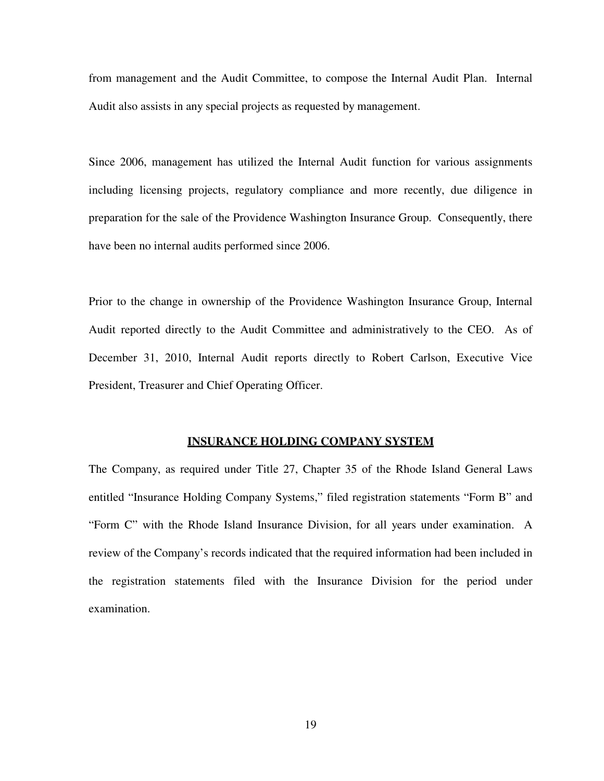from management and the Audit Committee, to compose the Internal Audit Plan. Internal Audit also assists in any special projects as requested by management.

Since 2006, management has utilized the Internal Audit function for various assignments including licensing projects, regulatory compliance and more recently, due diligence in preparation for the sale of the Providence Washington Insurance Group. Consequently, there have been no internal audits performed since 2006.

Prior to the change in ownership of the Providence Washington Insurance Group, Internal Audit reported directly to the Audit Committee and administratively to the CEO. As of December 31, 2010, Internal Audit reports directly to Robert Carlson, Executive Vice President, Treasurer and Chief Operating Officer.

## **INSURANCE HOLDING COMPANY SYSTEM**

The Company, as required under Title 27, Chapter 35 of the Rhode Island General Laws entitled "Insurance Holding Company Systems," filed registration statements "Form B" and "Form C" with the Rhode Island Insurance Division, for all years under examination. A review of the Company's records indicated that the required information had been included in the registration statements filed with the Insurance Division for the period under examination.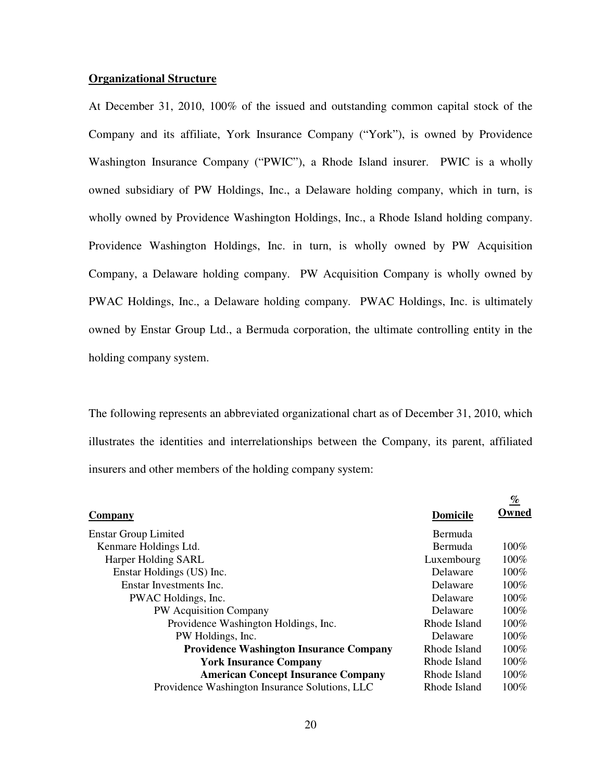# **Organizational Structure**

At December 31, 2010, 100% of the issued and outstanding common capital stock of the Company and its affiliate, York Insurance Company ("York"), is owned by Providence Washington Insurance Company ("PWIC"), a Rhode Island insurer. PWIC is a wholly owned subsidiary of PW Holdings, Inc., a Delaware holding company, which in turn, is wholly owned by Providence Washington Holdings, Inc., a Rhode Island holding company. Providence Washington Holdings, Inc. in turn, is wholly owned by PW Acquisition Company, a Delaware holding company. PW Acquisition Company is wholly owned by PWAC Holdings, Inc., a Delaware holding company. PWAC Holdings, Inc. is ultimately owned by Enstar Group Ltd., a Bermuda corporation, the ultimate controlling entity in the holding company system.

The following represents an abbreviated organizational chart as of December 31, 2010, which illustrates the identities and interrelationships between the Company, its parent, affiliated insurers and other members of the holding company system:

|                                                |                 | <u>%</u> |
|------------------------------------------------|-----------------|----------|
| <b>Company</b>                                 | <b>Domicile</b> | Owned    |
| <b>Enstar Group Limited</b>                    | Bermuda         |          |
| Kenmare Holdings Ltd.                          | Bermuda         | $100\%$  |
| Harper Holding SARL                            | Luxembourg      | 100%     |
| Enstar Holdings (US) Inc.                      | Delaware        | $100\%$  |
| Enstar Investments Inc.                        | Delaware        | 100%     |
| PWAC Holdings, Inc.                            | Delaware        | $100\%$  |
| PW Acquisition Company                         | <b>Delaware</b> | 100%     |
| Providence Washington Holdings, Inc.           | Rhode Island    | 100%     |
| PW Holdings, Inc.                              | Delaware        | $100\%$  |
| <b>Providence Washington Insurance Company</b> | Rhode Island    | 100%     |
| <b>York Insurance Company</b>                  | Rhode Island    | 100%     |
| <b>American Concept Insurance Company</b>      | Rhode Island    | 100%     |
| Providence Washington Insurance Solutions, LLC | Rhode Island    | $100\%$  |
|                                                |                 |          |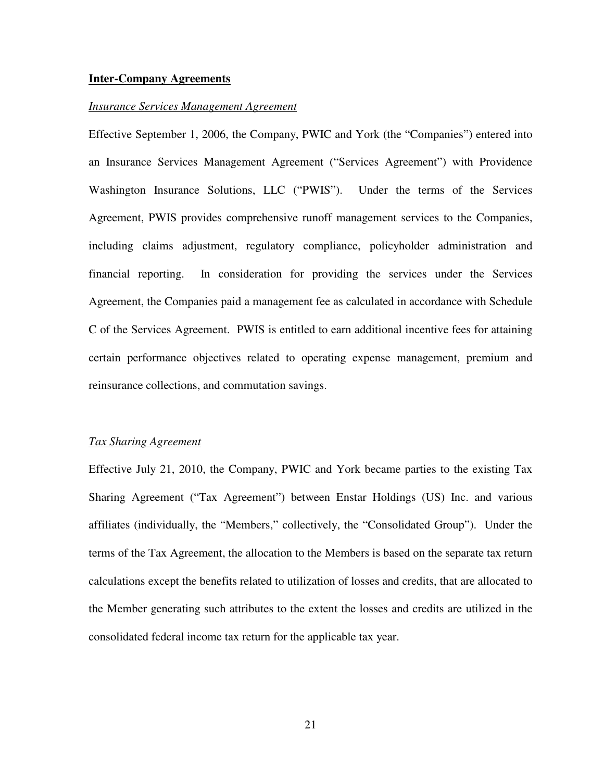#### **Inter-Company Agreements**

#### *Insurance Services Management Agreement*

Effective September 1, 2006, the Company, PWIC and York (the "Companies") entered into an Insurance Services Management Agreement ("Services Agreement") with Providence Washington Insurance Solutions, LLC ("PWIS"). Under the terms of the Services Agreement, PWIS provides comprehensive runoff management services to the Companies, including claims adjustment, regulatory compliance, policyholder administration and financial reporting. In consideration for providing the services under the Services Agreement, the Companies paid a management fee as calculated in accordance with Schedule C of the Services Agreement. PWIS is entitled to earn additional incentive fees for attaining certain performance objectives related to operating expense management, premium and reinsurance collections, and commutation savings.

# *Tax Sharing Agreement*

Effective July 21, 2010, the Company, PWIC and York became parties to the existing Tax Sharing Agreement ("Tax Agreement") between Enstar Holdings (US) Inc. and various affiliates (individually, the "Members," collectively, the "Consolidated Group"). Under the terms of the Tax Agreement, the allocation to the Members is based on the separate tax return calculations except the benefits related to utilization of losses and credits, that are allocated to the Member generating such attributes to the extent the losses and credits are utilized in the consolidated federal income tax return for the applicable tax year.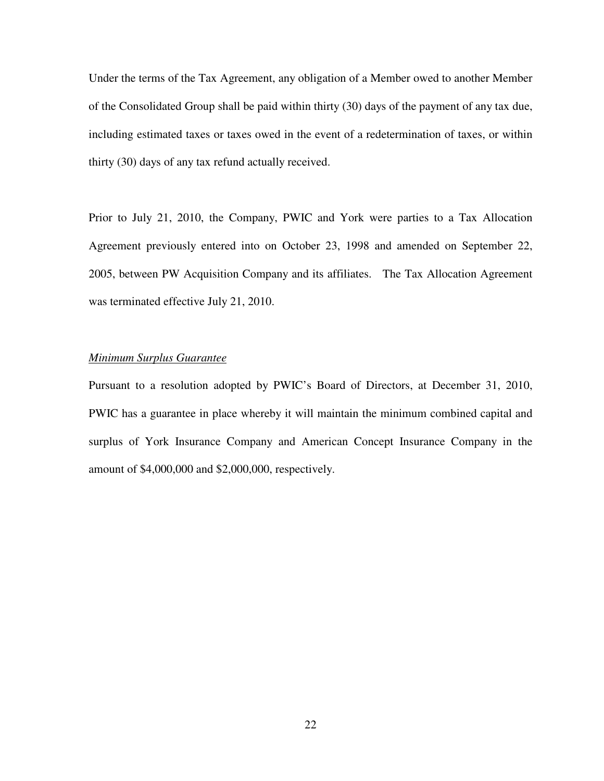Under the terms of the Tax Agreement, any obligation of a Member owed to another Member of the Consolidated Group shall be paid within thirty (30) days of the payment of any tax due, including estimated taxes or taxes owed in the event of a redetermination of taxes, or within thirty (30) days of any tax refund actually received.

Prior to July 21, 2010, the Company, PWIC and York were parties to a Tax Allocation Agreement previously entered into on October 23, 1998 and amended on September 22, 2005, between PW Acquisition Company and its affiliates. The Tax Allocation Agreement was terminated effective July 21, 2010.

# *Minimum Surplus Guarantee*

Pursuant to a resolution adopted by PWIC's Board of Directors, at December 31, 2010, PWIC has a guarantee in place whereby it will maintain the minimum combined capital and surplus of York Insurance Company and American Concept Insurance Company in the amount of \$4,000,000 and \$2,000,000, respectively.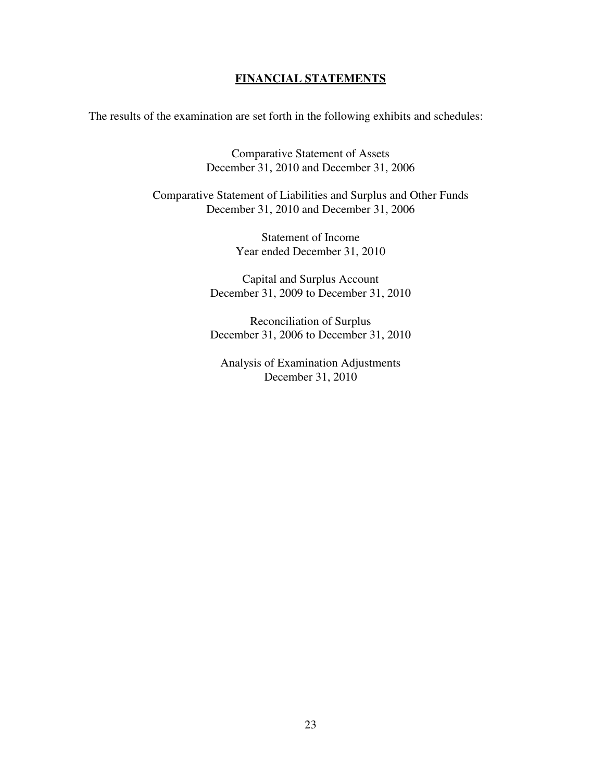# **FINANCIAL STATEMENTS**

The results of the examination are set forth in the following exhibits and schedules:

Comparative Statement of Assets December 31, 2010 and December 31, 2006

Comparative Statement of Liabilities and Surplus and Other Funds December 31, 2010 and December 31, 2006

> Statement of Income Year ended December 31, 2010

Capital and Surplus Account December 31, 2009 to December 31, 2010

Reconciliation of Surplus December 31, 2006 to December 31, 2010

Analysis of Examination Adjustments December 31, 2010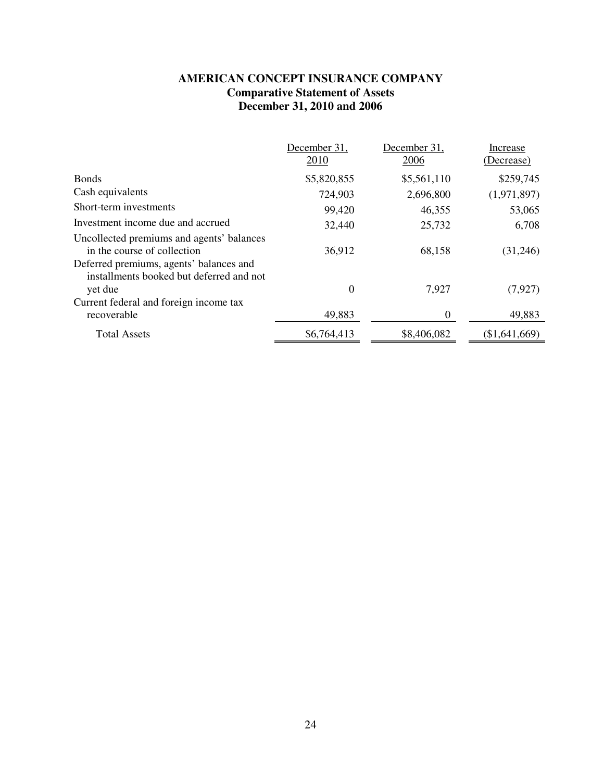# **AMERICAN CONCEPT INSURANCE COMPANY Comparative Statement of Assets December 31, 2010 and 2006**

|                                                                                                | December 31,<br>2010 | December 31,<br>2006 | Increase<br>(Decrease) |
|------------------------------------------------------------------------------------------------|----------------------|----------------------|------------------------|
| <b>Bonds</b>                                                                                   | \$5,820,855          | \$5,561,110          | \$259,745              |
| Cash equivalents                                                                               | 724,903              | 2,696,800            | (1,971,897)            |
| Short-term investments                                                                         | 99,420               | 46,355               | 53,065                 |
| Investment income due and accrued                                                              | 32,440               | 25,732               | 6,708                  |
| Uncollected premiums and agents' balances<br>in the course of collection                       | 36,912               | 68,158               | (31,246)               |
| Deferred premiums, agents' balances and<br>installments booked but deferred and not<br>yet due | $\boldsymbol{0}$     | 7,927                | (7, 927)               |
| Current federal and foreign income tax<br>recoverable                                          | 49,883               | $\Omega$             | 49,883                 |
| <b>Total Assets</b>                                                                            | \$6,764,413          | \$8,406,082          | (\$1,641,669)          |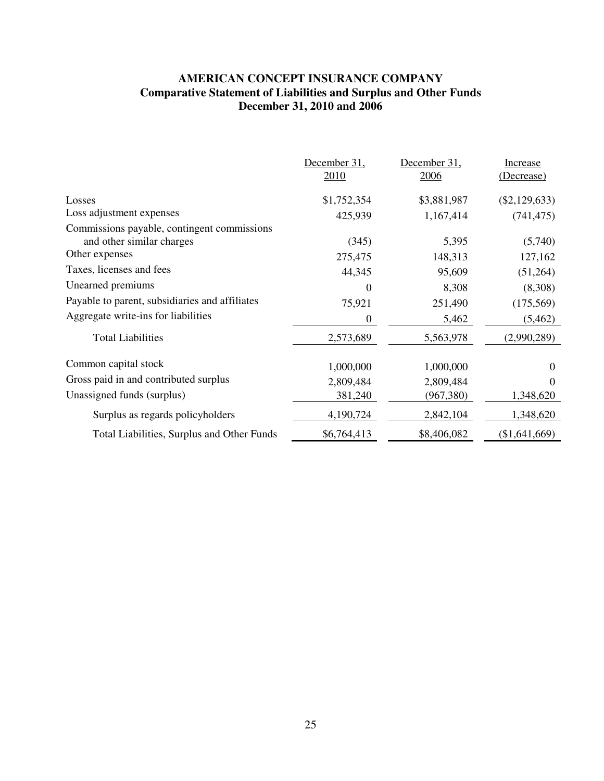# **AMERICAN CONCEPT INSURANCE COMPANY Comparative Statement of Liabilities and Surplus and Other Funds December 31, 2010 and 2006**

|                                                                          | December 31,<br>2010 | December 31,<br>2006 | Increase<br>(Decrease) |
|--------------------------------------------------------------------------|----------------------|----------------------|------------------------|
| Losses                                                                   | \$1,752,354          | \$3,881,987          | $(\$2,129,633)$        |
| Loss adjustment expenses                                                 | 425,939              | 1,167,414            | (741, 475)             |
| Commissions payable, contingent commissions<br>and other similar charges | (345)                | 5,395                | (5,740)                |
| Other expenses                                                           | 275,475              | 148,313              | 127,162                |
| Taxes, licenses and fees                                                 | 44,345               | 95,609               | (51,264)               |
| Unearned premiums                                                        | $\Omega$             | 8,308                | (8,308)                |
| Payable to parent, subsidiaries and affiliates                           | 75,921               | 251,490              | (175, 569)             |
| Aggregate write-ins for liabilities                                      | 0                    | 5,462                | (5, 462)               |
| <b>Total Liabilities</b>                                                 | 2,573,689            | 5,563,978            | (2,990,289)            |
| Common capital stock                                                     | 1,000,000            | 1,000,000            | $\Omega$               |
| Gross paid in and contributed surplus                                    | 2,809,484            | 2,809,484            | $\Omega$               |
| Unassigned funds (surplus)                                               | 381,240              | (967, 380)           | 1,348,620              |
| Surplus as regards policyholders                                         | 4,190,724            | 2,842,104            | 1,348,620              |
| Total Liabilities, Surplus and Other Funds                               | \$6,764,413          | \$8,406,082          | (\$1,641,669)          |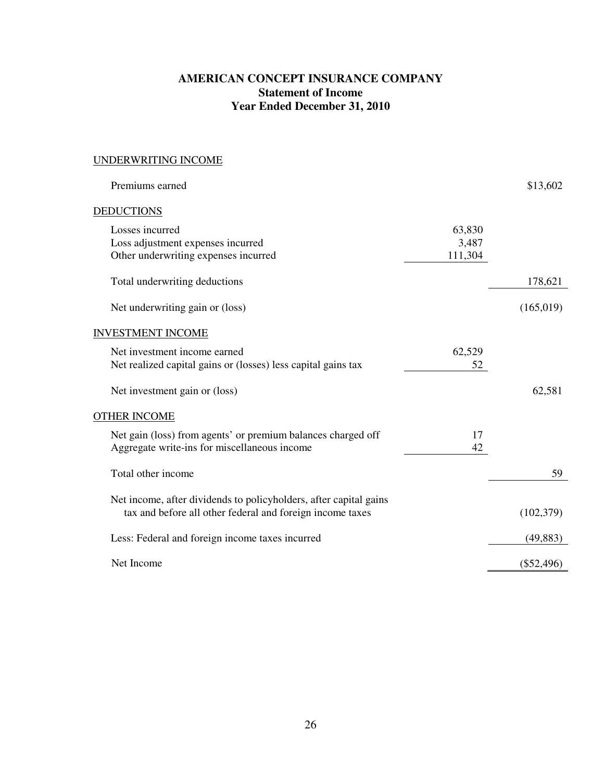# **AMERICAN CONCEPT INSURANCE COMPANY Statement of Income Year Ended December 31, 2010**

# UNDERWRITING INCOME

| Premiums earned                                                                                                                |                            | \$13,602     |
|--------------------------------------------------------------------------------------------------------------------------------|----------------------------|--------------|
| <b>DEDUCTIONS</b>                                                                                                              |                            |              |
| Losses incurred<br>Loss adjustment expenses incurred<br>Other underwriting expenses incurred                                   | 63,830<br>3,487<br>111,304 |              |
| Total underwriting deductions                                                                                                  |                            | 178,621      |
| Net underwriting gain or (loss)                                                                                                |                            | (165,019)    |
| <b>INVESTMENT INCOME</b>                                                                                                       |                            |              |
| Net investment income earned<br>Net realized capital gains or (losses) less capital gains tax                                  | 62,529<br>52               |              |
| Net investment gain or (loss)                                                                                                  |                            | 62,581       |
| <b>OTHER INCOME</b>                                                                                                            |                            |              |
| Net gain (loss) from agents' or premium balances charged off<br>Aggregate write-ins for miscellaneous income                   | 17<br>42                   |              |
| Total other income                                                                                                             |                            | 59           |
| Net income, after dividends to policyholders, after capital gains<br>tax and before all other federal and foreign income taxes |                            | (102, 379)   |
| Less: Federal and foreign income taxes incurred                                                                                |                            | (49, 883)    |
| Net Income                                                                                                                     |                            | $(\$52,496)$ |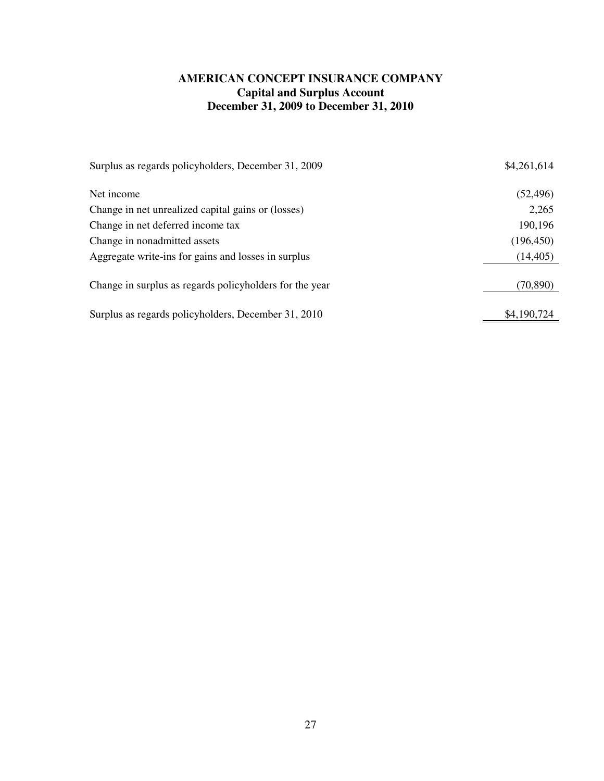# **AMERICAN CONCEPT INSURANCE COMPANY Capital and Surplus Account December 31, 2009 to December 31, 2010**

| Surplus as regards policyholders, December 31, 2009     | \$4,261,614 |
|---------------------------------------------------------|-------------|
| Net income                                              | (52, 496)   |
| Change in net unrealized capital gains or (losses)      | 2,265       |
| Change in net deferred income tax                       | 190,196     |
| Change in nonadmitted assets                            | (196, 450)  |
| Aggregate write-ins for gains and losses in surplus     | (14, 405)   |
| Change in surplus as regards policyholders for the year | (70, 890)   |
| Surplus as regards policyholders, December 31, 2010     | \$4,190,724 |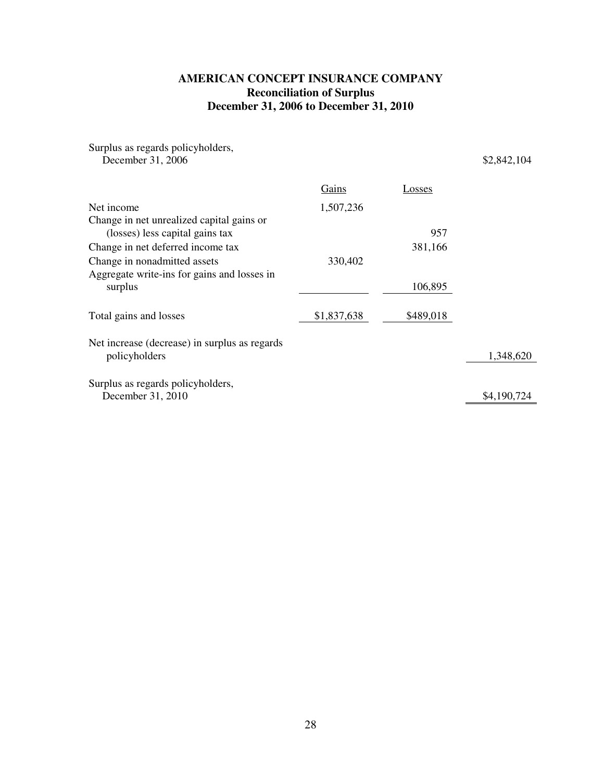# **AMERICAN CONCEPT INSURANCE COMPANY Reconciliation of Surplus December 31, 2006 to December 31, 2010**

| Surplus as regards policyholders,             |             |           |             |
|-----------------------------------------------|-------------|-----------|-------------|
| December 31, 2006                             |             |           | \$2,842,104 |
|                                               | Gains       | Losses    |             |
| Net income                                    | 1,507,236   |           |             |
| Change in net unrealized capital gains or     |             |           |             |
| (losses) less capital gains tax               |             | 957       |             |
| Change in net deferred income tax             |             | 381,166   |             |
| Change in nonadmitted assets                  | 330,402     |           |             |
| Aggregate write-ins for gains and losses in   |             |           |             |
| surplus                                       |             | 106,895   |             |
| Total gains and losses                        | \$1,837,638 | \$489,018 |             |
| Net increase (decrease) in surplus as regards |             |           |             |
| policyholders                                 |             |           | 1,348,620   |
| Surplus as regards policyholders,             |             |           |             |
| December 31, 2010                             |             |           | \$4,190,724 |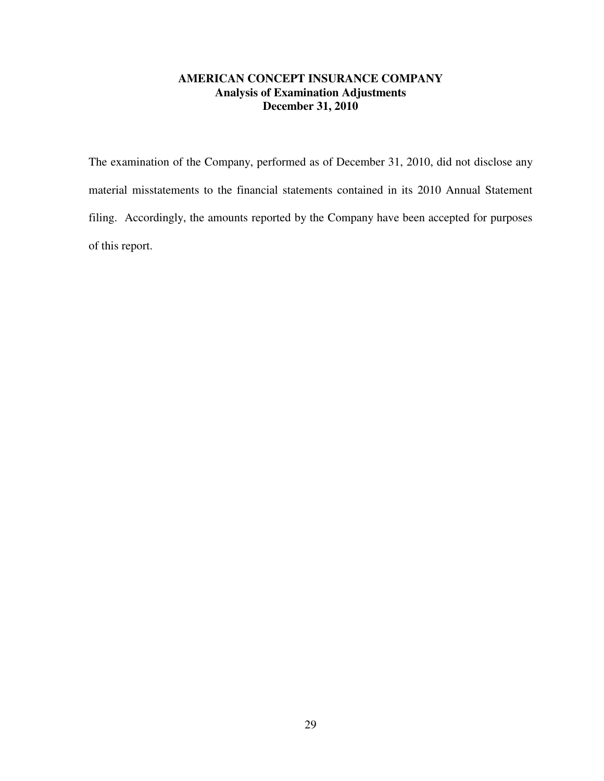# **AMERICAN CONCEPT INSURANCE COMPANY Analysis of Examination Adjustments December 31, 2010**

The examination of the Company, performed as of December 31, 2010, did not disclose any material misstatements to the financial statements contained in its 2010 Annual Statement filing. Accordingly, the amounts reported by the Company have been accepted for purposes of this report.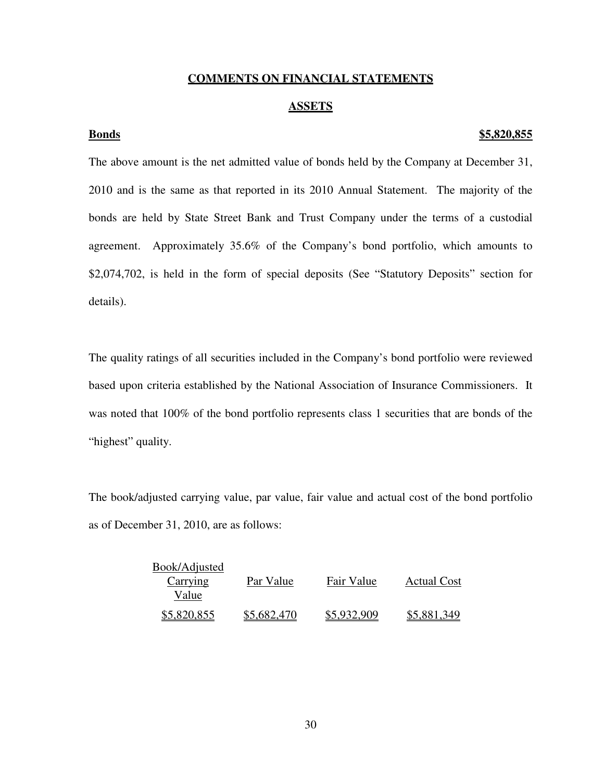# **COMMENTS ON FINANCIAL STATEMENTS**

## **ASSETS**

## **Bonds \$5,820,855**

The above amount is the net admitted value of bonds held by the Company at December 31, 2010 and is the same as that reported in its 2010 Annual Statement. The majority of the bonds are held by State Street Bank and Trust Company under the terms of a custodial agreement. Approximately 35.6% of the Company's bond portfolio, which amounts to \$2,074,702, is held in the form of special deposits (See "Statutory Deposits" section for details).

The quality ratings of all securities included in the Company's bond portfolio were reviewed based upon criteria established by the National Association of Insurance Commissioners. It was noted that 100% of the bond portfolio represents class 1 securities that are bonds of the "highest" quality.

The book/adjusted carrying value, par value, fair value and actual cost of the bond portfolio as of December 31, 2010, are as follows:

| Book/Adjusted |             |             |                    |
|---------------|-------------|-------------|--------------------|
| Carrying      | Par Value   | Fair Value  | <b>Actual Cost</b> |
| Value         |             |             |                    |
| \$5,820,855   | \$5,682,470 | \$5,932,909 | \$5,881,349        |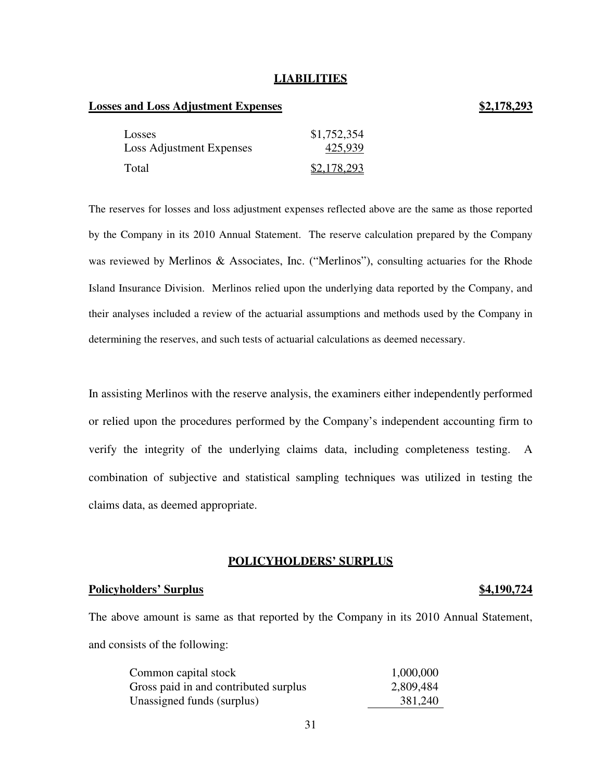## **LIABILITIES**

# **Losses and Loss Adjustment Expenses \$2,178,293**

# Losses \$1,752,354 Loss Adjustment Expenses 425,939 Total \$2,178,293

The reserves for losses and loss adjustment expenses reflected above are the same as those reported by the Company in its 2010 Annual Statement. The reserve calculation prepared by the Company was reviewed by Merlinos & Associates, Inc. ("Merlinos"), consulting actuaries for the Rhode Island Insurance Division. Merlinos relied upon the underlying data reported by the Company, and their analyses included a review of the actuarial assumptions and methods used by the Company in determining the reserves, and such tests of actuarial calculations as deemed necessary.

In assisting Merlinos with the reserve analysis, the examiners either independently performed or relied upon the procedures performed by the Company's independent accounting firm to verify the integrity of the underlying claims data, including completeness testing. A combination of subjective and statistical sampling techniques was utilized in testing the claims data, as deemed appropriate.

## **POLICYHOLDERS' SURPLUS**

# **Policyholders' Surplus \$4,190,724**

The above amount is same as that reported by the Company in its 2010 Annual Statement, and consists of the following:

| Common capital stock                  | 1,000,000 |
|---------------------------------------|-----------|
| Gross paid in and contributed surplus | 2,809,484 |
| Unassigned funds (surplus)            | 381,240   |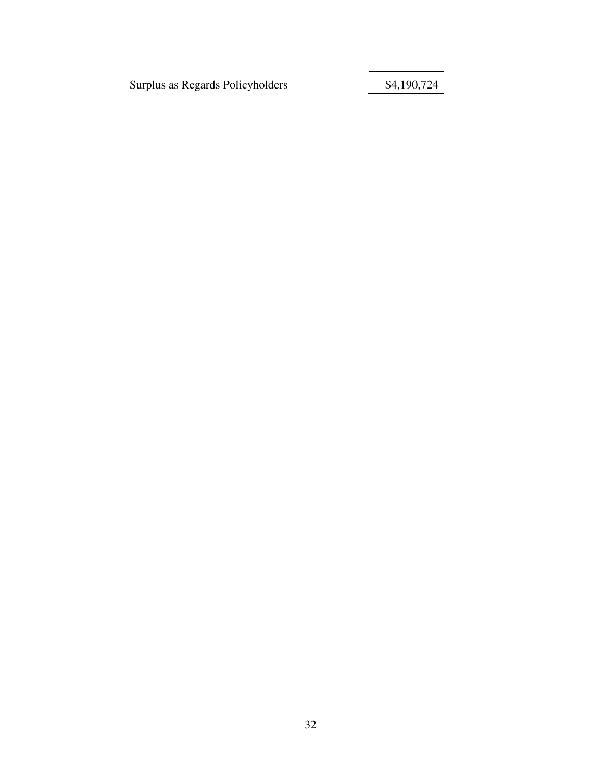Surplus as Regards Policyholders 54,190,724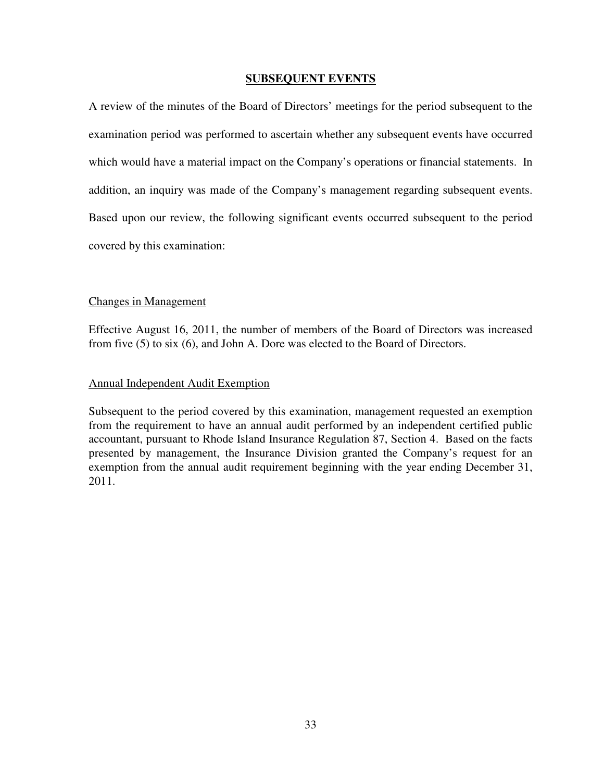# **SUBSEQUENT EVENTS**

A review of the minutes of the Board of Directors' meetings for the period subsequent to the examination period was performed to ascertain whether any subsequent events have occurred which would have a material impact on the Company's operations or financial statements. In addition, an inquiry was made of the Company's management regarding subsequent events. Based upon our review, the following significant events occurred subsequent to the period covered by this examination:

# Changes in Management

Effective August 16, 2011, the number of members of the Board of Directors was increased from five (5) to six (6), and John A. Dore was elected to the Board of Directors.

# Annual Independent Audit Exemption

Subsequent to the period covered by this examination, management requested an exemption from the requirement to have an annual audit performed by an independent certified public accountant, pursuant to Rhode Island Insurance Regulation 87, Section 4. Based on the facts presented by management, the Insurance Division granted the Company's request for an exemption from the annual audit requirement beginning with the year ending December 31, 2011.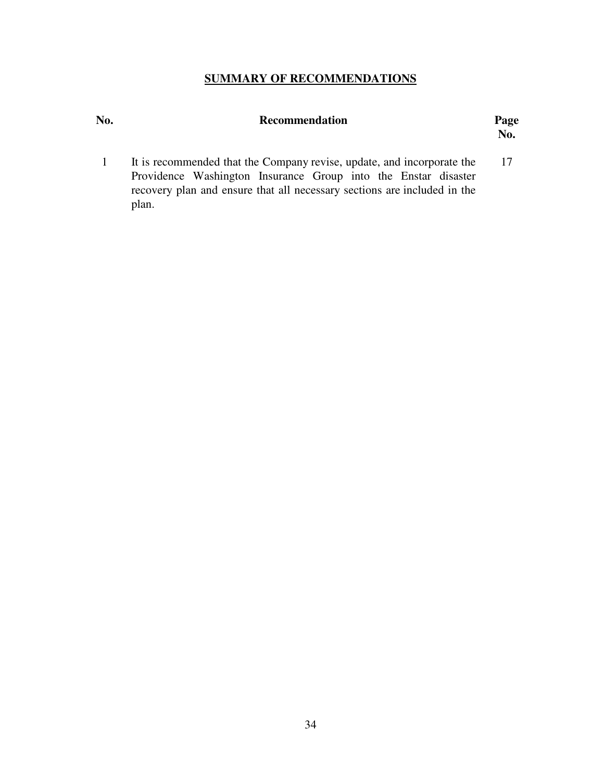# **SUMMARY OF RECOMMENDATIONS**

| No. | <b>Recommendation</b> | Page            |
|-----|-----------------------|-----------------|
|     |                       | $\mathbf{N}$ o. |

1 It is recommended that the Company revise, update, and incorporate the Providence Washington Insurance Group into the Enstar disaster recovery plan and ensure that all necessary sections are included in the plan. 17